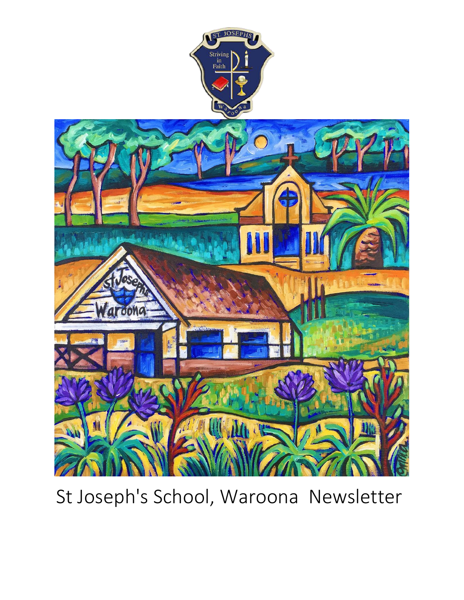

# St Joseph's School, Waroona Newsletter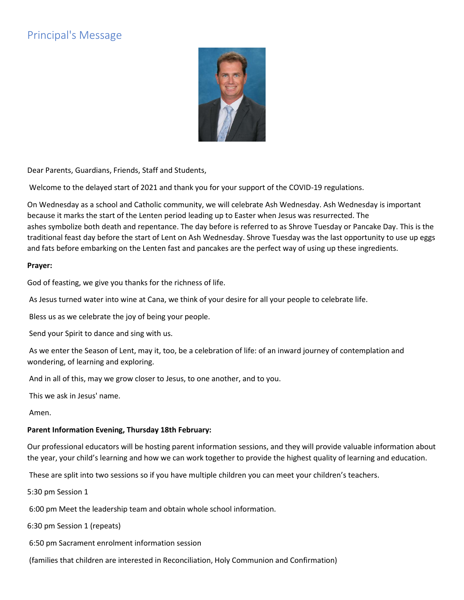# Principal's Message



Dear Parents, Guardians, Friends, Staff and Students,

Welcome to the delayed start of 2021 and thank you for your support of the COVID-19 regulations.

On Wednesday as a school and Catholic community, we will celebrate Ash Wednesday. Ash Wednesday is important because it marks the start of the Lenten period leading up to Easter when Jesus was resurrected. The ashes symbolize both death and repentance. The day before is referred to as Shrove Tuesday or Pancake Day. This is the traditional feast day before the start of Lent on Ash Wednesday. Shrove Tuesday was the last opportunity to use up eggs and fats before embarking on the Lenten fast and pancakes are the perfect way of using up these ingredients.

# **Prayer:**

God of feasting, we give you thanks for the richness of life.

As Jesus turned water into wine at Cana, we think of your desire for all your people to celebrate life.

Bless us as we celebrate the joy of being your people.

Send your Spirit to dance and sing with us.

As we enter the Season of Lent, may it, too, be a celebration of life: of an inward journey of contemplation and wondering, of learning and exploring.

And in all of this, may we grow closer to Jesus, to one another, and to you.

This we ask in Jesus' name.

Amen.

# **Parent Information Evening, Thursday 18th February:**

Our professional educators will be hosting parent information sessions, and they will provide valuable information about the year, your child's learning and how we can work together to provide the highest quality of learning and education.

These are split into two sessions so if you have multiple children you can meet your children's teachers.

5:30 pm Session 1

6:00 pm Meet the leadership team and obtain whole school information.

6:30 pm Session 1 (repeats)

6:50 pm Sacrament enrolment information session

(families that children are interested in Reconciliation, Holy Communion and Confirmation)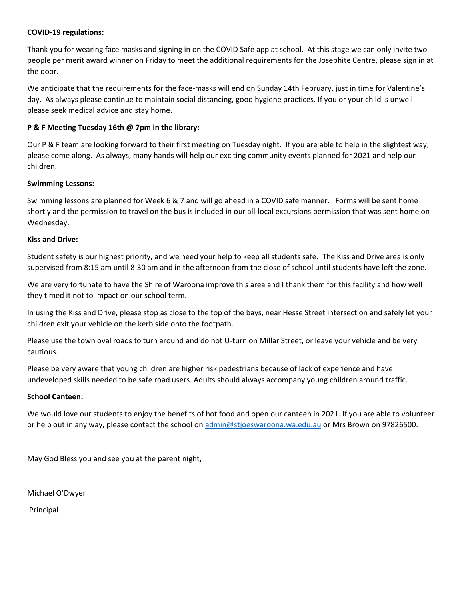## **COVID-19 regulations:**

Thank you for wearing face masks and signing in on the COVID Safe app at school. At this stage we can only invite two people per merit award winner on Friday to meet the additional requirements for the Josephite Centre, please sign in at the door.

We anticipate that the requirements for the face-masks will end on Sunday 14th February, just in time for Valentine's day. As always please continue to maintain social distancing, good hygiene practices. If you or your child is unwell please seek medical advice and stay home.

## **P & F Meeting Tuesday 16th @ 7pm in the library:**

Our P & F team are looking forward to their first meeting on Tuesday night. If you are able to help in the slightest way, please come along. As always, many hands will help our exciting community events planned for 2021 and help our children.

## **Swimming Lessons:**

Swimming lessons are planned for Week 6 & 7 and will go ahead in a COVID safe manner. Forms will be sent home shortly and the permission to travel on the bus is included in our all-local excursions permission that was sent home on Wednesday.

#### **Kiss and Drive:**

Student safety is our highest priority, and we need your help to keep all students safe. The Kiss and Drive area is only supervised from 8:15 am until 8:30 am and in the afternoon from the close of school until students have left the zone.

We are very fortunate to have the Shire of Waroona improve this area and I thank them for this facility and how well they timed it not to impact on our school term.

In using the Kiss and Drive, please stop as close to the top of the bays, near Hesse Street intersection and safely let your children exit your vehicle on the kerb side onto the footpath.

Please use the town oval roads to turn around and do not U-turn on Millar Street, or leave your vehicle and be very cautious.

Please be very aware that young children are higher risk pedestrians because of lack of experience and have undeveloped skills needed to be safe road users. Adults should always accompany young children around traffic.

#### **School Canteen:**

We would love our students to enjoy the benefits of hot food and open our canteen in 2021. If you are able to volunteer or help out in any way, please contact the school o[n admin@stjoeswaroona.wa.edu.au](mailto:admin@stjoeswaroona.wa.edu.au) or Mrs Brown on 97826500.

May God Bless you and see you at the parent night,

Michael O'Dwyer

Principal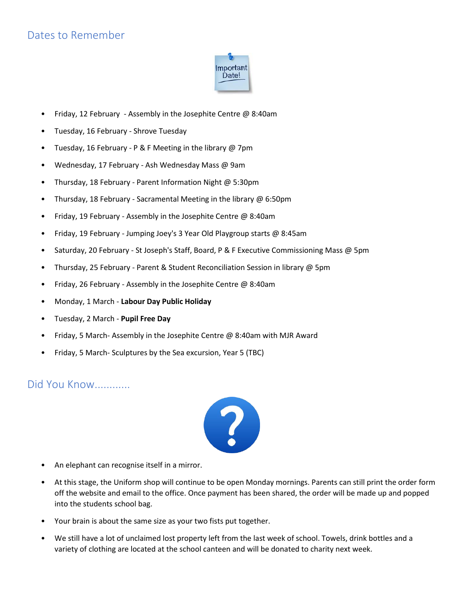# Dates to Remember



- Friday, 12 February Assembly in the Josephite Centre @ 8:40am
- Tuesday, 16 February Shrove Tuesday
- Tuesday, 16 February P & F Meeting in the library @ 7pm
- Wednesday, 17 February Ash Wednesday Mass @ 9am
- Thursday, 18 February Parent Information Night @ 5:30pm
- Thursday, 18 February Sacramental Meeting in the library @ 6:50pm
- Friday, 19 February Assembly in the Josephite Centre @ 8:40am
- Friday, 19 February Jumping Joey's 3 Year Old Playgroup starts @ 8:45am
- Saturday, 20 February St Joseph's Staff, Board, P & F Executive Commissioning Mass @ 5pm
- Thursday, 25 February Parent & Student Reconciliation Session in library @ 5pm
- Friday, 26 February Assembly in the Josephite Centre @ 8:40am
- Monday, 1 March **Labour Day Public Holiday**
- Tuesday, 2 March **Pupil Free Day**
- Friday, 5 March- Assembly in the Josephite Centre @ 8:40am with MJR Award
- Friday, 5 March- Sculptures by the Sea excursion, Year 5 (TBC)

# Did You Know............



- An elephant can recognise itself in a mirror.
- At this stage, the Uniform shop will continue to be open Monday mornings. Parents can still print the order form off the website and email to the office. Once payment has been shared, the order will be made up and popped into the students school bag.
- Your brain is about the same size as your two fists put together.
- We still have a lot of unclaimed lost property left from the last week of school. Towels, drink bottles and a variety of clothing are located at the school canteen and will be donated to charity next week.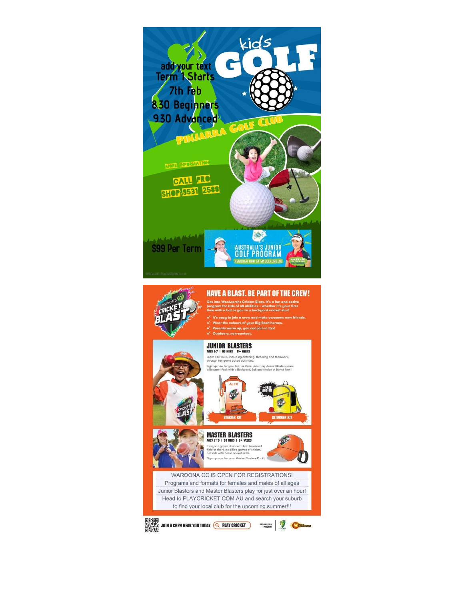



#### **HAVE A BLAST. BE PART OF THE CREW!**

It's easy to join a crew and make awesom<br>Wear the colours of your Big Bash heroes. rents warm up, you can join in too!  $\sqrt{$  Outdoors, non-contact.

#### **JUNIOR BLASTERS**

–<br>for your Starter Pack. Retu<br>ack with a Backpack. Ball o

**AGES 57 | 60 MINS | 6+ WEKS**<br>Learn new skills, including catching, throwing and teamwork,<br>through fun game based activities.



**SECRET AND RESIDENCE PROGRAM** 

MASTER BLASTERS<br>AGES 7-10 | 90 MINS | 6+ WEEKS ce to bat, boy<br>diagment of cr ı yumes t<br>cket skills

w for your Master Bl

WAROONA CC IS OPEN FOR REGISTRATIONS! Programs and formats for females and males of all ages Junior Blasters and Master Blasters play for just over an hour! Head to PLAYCRICKET.COM.AU and search your suburb to find your local club for the upcoming summer!!!

回發運<br>**冷笑**<br>回波<br>回波<br>回波<br>